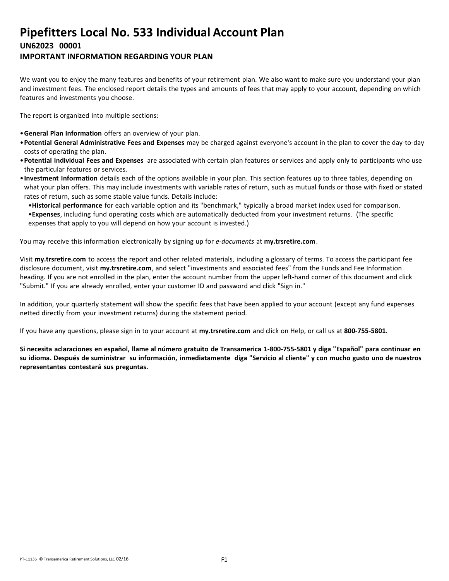# **Pipefitters Local No. 533 Individual Account Plan UN62023 00001**

### **IMPORTANT INFORMATION REGARDING YOUR PLAN**

We want you to enjoy the many features and benefits of your retirement plan. We also want to make sure you understand your plan and investment fees. The enclosed report details the types and amounts of fees that may apply to your account, depending on which features and investments you choose.

The report is organized into multiple sections:

- •**General Plan Information** offers an overview of your plan.
- •**Potential General Administrative Fees and Expenses** may be charged against everyone's account in the plan to cover the day-to-day costs of operating the plan.
- •**Potential Individual Fees and Expenses** are associated with certain plan features or services and apply only to participants who use the particular features or services.
- •**Investment Information** details each of the options available in your plan. This section features up to three tables, depending on what your plan offers. This may include investments with variable rates of return, such as mutual funds or those with fixed or stated rates of return, such as some stable value funds. Details include:
	- •**Historical performance** for each variable option and its "benchmark," typically a broad market index used for comparison.

•**Expenses**, including fund operating costs which are automatically deducted from your investment returns. (The specific expenses that apply to you will depend on how your account is invested.)

You may receive this information electronically by signing up for *e-documents* at **my.trsretire.com**.

Visit **my.trsretire.com** to access the report and other related materials, including a glossary of terms. To access the participant fee disclosure document, visit **my.trsretire.com**, and select "investments and associated fees" from the Funds and Fee Information heading. If you are not enrolled in the plan, enter the account number from the upper left-hand corner of this document and click "Submit." If you are already enrolled, enter your customer ID and password and click "Sign in."

In addition, your quarterly statement will show the specific fees that have been applied to your account (except any fund expenses netted directly from your investment returns) during the statement period.

If you have any questions, please sign in to your account at **my.trsretire.com** and click on Help, or call us at **800-755-5801**.

Si necesita aclaraciones en español, llame al número gratuito de Transamerica 1-800-755-5801 y diga "Español" para continuar en su idioma. Después de suministrar su información, inmediatamente diga "Servicio al cliente" y con mucho gusto uno de nuestros **representantes contestará sus preguntas.**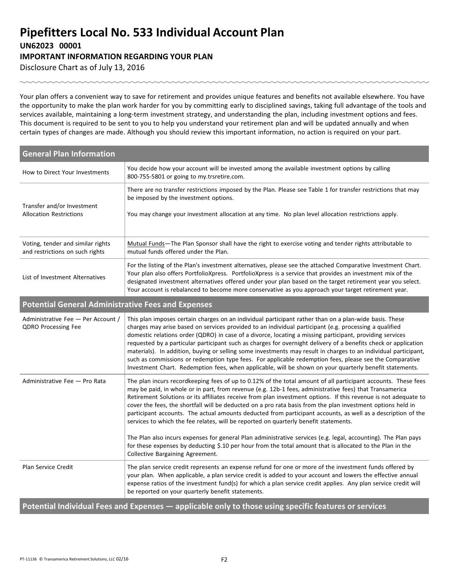## **Pipefitters Local No. 533 Individual Account Plan UN62023 00001 IMPORTANT INFORMATION REGARDING YOUR PLAN**

Disclosure Chart as of July 13, 2016

Your plan offers a convenient way to save for retirement and provides unique features and benefits not available elsewhere. You have the opportunity to make the plan work harder for you by committing early to disciplined savings, taking full advantage of the tools and services available, maintaining a long-term investment strategy, and understanding the plan, including investment options and fees. This document is required to be sent to you to help you understand your retirement plan and will be updated annually and when certain types of changes are made. Although you should review this important information, no action is required on your part.

| <b>General Plan Information</b>                                      |                                                                                                                                                                                                                                                                                                                                                                                                                                                                                                                                                                                                                                                                                                                                                                                                                                                                                                                                       |
|----------------------------------------------------------------------|---------------------------------------------------------------------------------------------------------------------------------------------------------------------------------------------------------------------------------------------------------------------------------------------------------------------------------------------------------------------------------------------------------------------------------------------------------------------------------------------------------------------------------------------------------------------------------------------------------------------------------------------------------------------------------------------------------------------------------------------------------------------------------------------------------------------------------------------------------------------------------------------------------------------------------------|
| How to Direct Your Investments                                       | You decide how your account will be invested among the available investment options by calling<br>800-755-5801 or going to my.trsretire.com.                                                                                                                                                                                                                                                                                                                                                                                                                                                                                                                                                                                                                                                                                                                                                                                          |
| Transfer and/or Investment<br><b>Allocation Restrictions</b>         | There are no transfer restrictions imposed by the Plan. Please see Table 1 for transfer restrictions that may<br>be imposed by the investment options.<br>You may change your investment allocation at any time. No plan level allocation restrictions apply.                                                                                                                                                                                                                                                                                                                                                                                                                                                                                                                                                                                                                                                                         |
| Voting, tender and similar rights<br>and restrictions on such rights | Mutual Funds—The Plan Sponsor shall have the right to exercise voting and tender rights attributable to<br>mutual funds offered under the Plan.                                                                                                                                                                                                                                                                                                                                                                                                                                                                                                                                                                                                                                                                                                                                                                                       |
| List of Investment Alternatives                                      | For the listing of the Plan's investment alternatives, please see the attached Comparative Investment Chart.<br>Your plan also offers PortfolioXpress. PortfolioXpress is a service that provides an investment mix of the<br>designated investment alternatives offered under your plan based on the target retirement year you select.<br>Your account is rebalanced to become more conservative as you approach your target retirement year.                                                                                                                                                                                                                                                                                                                                                                                                                                                                                       |
| <b>Potential General Administrative Fees and Expenses</b>            |                                                                                                                                                                                                                                                                                                                                                                                                                                                                                                                                                                                                                                                                                                                                                                                                                                                                                                                                       |
| Administrative Fee - Per Account /<br><b>QDRO Processing Fee</b>     | This plan imposes certain charges on an individual participant rather than on a plan-wide basis. These<br>charges may arise based on services provided to an individual participant (e.g. processing a qualified<br>domestic relations order (QDRO) in case of a divorce, locating a missing participant, providing services<br>requested by a particular participant such as charges for overnight delivery of a benefits check or application<br>materials). In addition, buying or selling some investments may result in charges to an individual participant,<br>such as commissions or redemption type fees. For applicable redemption fees, please see the Comparative<br>Investment Chart. Redemption fees, when applicable, will be shown on your quarterly benefit statements.                                                                                                                                              |
| Administrative Fee - Pro Rata                                        | The plan incurs recordkeeping fees of up to 0.12% of the total amount of all participant accounts. These fees<br>may be paid, in whole or in part, from revenue (e.g. 12b-1 fees, administrative fees) that Transamerica<br>Retirement Solutions or its affiliates receive from plan investment options. If this revenue is not adequate to<br>cover the fees, the shortfall will be deducted on a pro rata basis from the plan investment options held in<br>participant accounts. The actual amounts deducted from participant accounts, as well as a description of the<br>services to which the fee relates, will be reported on quarterly benefit statements.<br>The Plan also incurs expenses for general Plan administrative services (e.g. legal, accounting). The Plan pays<br>for these expenses by deducting \$.10 per hour from the total amount that is allocated to the Plan in the<br>Collective Bargaining Agreement. |
| Plan Service Credit                                                  | The plan service credit represents an expense refund for one or more of the investment funds offered by<br>your plan. When applicable, a plan service credit is added to your account and lowers the effective annual<br>expense ratios of the investment fund(s) for which a plan service credit applies. Any plan service credit will<br>be reported on your quarterly benefit statements.                                                                                                                                                                                                                                                                                                                                                                                                                                                                                                                                          |
|                                                                      | Potential Individual Fees and Expenses — applicable only to those using specific features or services                                                                                                                                                                                                                                                                                                                                                                                                                                                                                                                                                                                                                                                                                                                                                                                                                                 |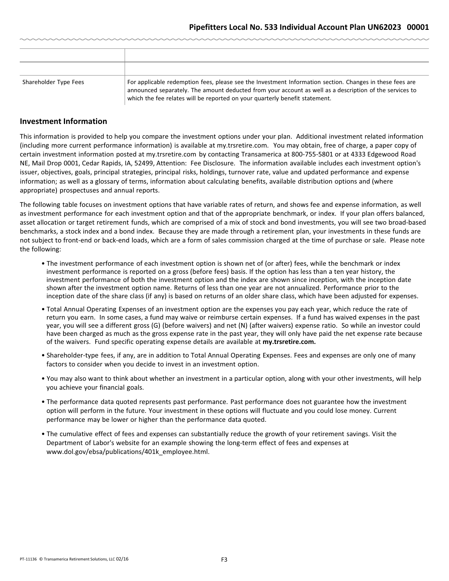| Shareholder Type Fees | For applicable redemption fees, please see the Investment Information section. Changes in these fees are<br>announced separately. The amount deducted from your account as well as a description of the services to<br>which the fee relates will be reported on your quarterly benefit statement. |
|-----------------------|----------------------------------------------------------------------------------------------------------------------------------------------------------------------------------------------------------------------------------------------------------------------------------------------------|

#### **Investment Information**

This information is provided to help you compare the investment options under your plan. Additional investment related information (including more current performance information) is available at my.trsretire.com. You may obtain, free of charge, a paper copy of certain investment information posted at my.trsretire.com by contacting Transamerica at 800-755-5801 or at 4333 Edgewood Road NE, Mail Drop 0001, Cedar Rapids, IA, 52499, Attention: Fee Disclosure. The information available includes each investment option's issuer, objectives, goals, principal strategies, principal risks, holdings, turnover rate, value and updated performance and expense information; as well as a glossary of terms, information about calculating benefits, available distribution options and (where appropriate) prospectuses and annual reports.

The following table focuses on investment options that have variable rates of return, and shows fee and expense information, as well as investment performance for each investment option and that of the appropriate benchmark, or index. If your plan offers balanced, asset allocation or target retirement funds, which are comprised of a mix of stock and bond investments, you will see two broad-based benchmarks, a stock index and a bond index. Because they are made through a retirement plan, your investments in these funds are not subject to front-end or back-end loads, which are a form of sales commission charged at the time of purchase or sale. Please note the following:

- The investment performance of each investment option is shown net of (or after) fees, while the benchmark or index investment performance is reported on a gross (before fees) basis. If the option has less than a ten year history, the investment performance of both the investment option and the index are shown since inception, with the inception date shown after the investment option name. Returns of less than one year are not annualized. Performance prior to the inception date of the share class (if any) is based on returns of an older share class, which have been adjusted for expenses.
- Total Annual Operating Expenses of an investment option are the expenses you pay each year, which reduce the rate of return you earn. In some cases, a fund may waive or reimburse certain expenses. If a fund has waived expenses in the past year, you will see a different gross (G) (before waivers) and net (N) (after waivers) expense ratio. So while an investor could have been charged as much as the gross expense rate in the past year, they will only have paid the net expense rate because of the waivers. Fund specific operating expense details are available at **my.trsretire.com.**
- Shareholder-type fees, if any, are in addition to Total Annual Operating Expenses. Fees and expenses are only one of many factors to consider when you decide to invest in an investment option.
- You may also want to think about whether an investment in a particular option, along with your other investments, will help you achieve your financial goals.
- The performance data quoted represents past performance. Past performance does not guarantee how the investment option will perform in the future. Your investment in these options will fluctuate and you could lose money. Current performance may be lower or higher than the performance data quoted.
- The cumulative effect of fees and expenses can substantially reduce the growth of your retirement savings. Visit the Department of Labor's website for an example showing the long-term effect of fees and expenses at www.dol.gov/ebsa/publications/401k\_employee.html.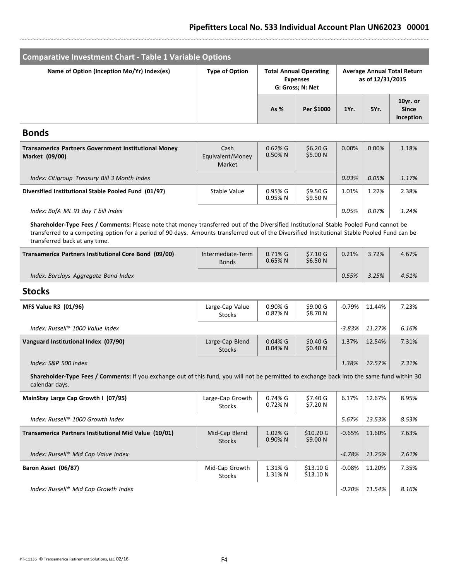### **Pipefitters Local No. 533 Individual Account Plan UN62023 00001**

| <b>Comparative Investment Chart - Table 1 Variable Options</b> |                       |                                                                      |            |      |                                                        |                                       |  |  |
|----------------------------------------------------------------|-----------------------|----------------------------------------------------------------------|------------|------|--------------------------------------------------------|---------------------------------------|--|--|
| Name of Option (Inception Mo/Yr) Index(es)                     | <b>Type of Option</b> | <b>Total Annual Operating</b><br><b>Expenses</b><br>G: Gross; N: Net |            |      | <b>Average Annual Total Return</b><br>as of 12/31/2015 |                                       |  |  |
|                                                                |                       | As $%$                                                               | Per \$1000 | 1Yr. | 5Yr.                                                   | 10yr. or<br><b>Since</b><br>Inception |  |  |

#### **Bonds**

| <b>Transamerica Partners Government Institutional Money</b><br>Market (09/00) | Cash<br>Equivalent/Money<br>Market | $0.62\%$ G<br>$0.50\%$ N | \$6.20G<br>\$5.00 N | 0.00% | $0.00\%$ | 1.18% |
|-------------------------------------------------------------------------------|------------------------------------|--------------------------|---------------------|-------|----------|-------|
| Index: Citigroup Treasury Bill 3 Month Index                                  |                                    |                          |                     | 0.03% | 0.05%    | 1.17% |
| Diversified Institutional Stable Pooled Fund (01/97)                          | Stable Value                       | 0.95% G<br>$0.95%$ N     | \$9.50G<br>\$9.50 N | 1.01% | 1.22%    | 2.38% |
| Index: BofA ML 91 day T bill Index                                            |                                    |                          |                     | 0.05% | 0.07%    | 1.24% |

**Shareholder-Type Fees / Comments:** Please note that money transferred out of the Diversified Institutional Stable Pooled Fund cannot be transferred to a competing option for a period of 90 days. Amounts transferred out of the Diversified Institutional Stable Pooled Fund can be transferred back at any time.

| Transamerica Partners Institutional Core Bond (09/00) | Intermediate-Term<br><b>Bonds</b> | $0.71\%$ G<br>$0.65%$ N | $$7.10 \text{ G}$<br>\$6.50 <sub>N</sub> | 0.21% | 3.72% | 4.67% |
|-------------------------------------------------------|-----------------------------------|-------------------------|------------------------------------------|-------|-------|-------|
| Index: Barclays Aggregate Bond Index                  |                                   |                         |                                          | 0.55% | 3.25% | 4.51% |

### **Stocks**

| <b>MFS Value R3 (01/96)</b>          | Large-Cap Value<br><b>Stocks</b> | $0.90\%$ G<br>$0.87\%$ N | \$9.00 <sub>G</sub><br>\$8.70 N | $-0.79%$ | 11.44% | 7.23% |
|--------------------------------------|----------------------------------|--------------------------|---------------------------------|----------|--------|-------|
| Index: Russell® 1000 Value Index     |                                  |                          |                                 | $-3.83%$ | 11.27% | 6.16% |
| Vanguard Institutional Index (07/90) | Large-Cap Blend<br>Stocks        | $0.04\%$ G<br>$0.04\%$ N | \$0.40 <sub>G</sub><br>\$0.40 N | 1.37%    | 12.54% | 7.31% |
| Index: S&P 500 Index                 |                                  |                          |                                 | 1.38%    | 12.57% | 7.31% |

**Shareholder-Type Fees / Comments:** If you exchange out of this fund, you will not be permitted to exchange back into the same fund within 30 calendar days.

| MainStay Large Cap Growth I (07/95)                   | Large-Cap Growth<br><b>Stocks</b> | $0.74%$ G<br>$0.72\%$ N  | \$7.40G<br>\$7.20 N             | 6.17%     | 12.67% | 8.95% |
|-------------------------------------------------------|-----------------------------------|--------------------------|---------------------------------|-----------|--------|-------|
| Index: Russell® 1000 Growth Index                     |                                   |                          |                                 | 5.67%     | 13.53% | 8.53% |
| Transamerica Partners Institutional Mid Value (10/01) | Mid-Cap Blend<br><b>Stocks</b>    | $1.02\%$ G<br>$0.90\%$ N | $$10.20 \text{ G}$<br>\$9.00 N  | $-0.65%$  | 11.60% | 7.63% |
| Index: Russell® Mid Cap Value Index                   |                                   |                          |                                 | $-4.78%$  | 11.25% | 7.61% |
| Baron Asset (06/87)                                   | Mid-Cap Growth<br><b>Stocks</b>   | 1.31% G<br>1.31% N       | $$13.10 \text{ G}$<br>\$13.10 N | $-0.08\%$ | 11.20% | 7.35% |
| Index: Russell® Mid Cap Growth Index                  |                                   |                          |                                 | -0.20%    | 11.54% | 8.16% |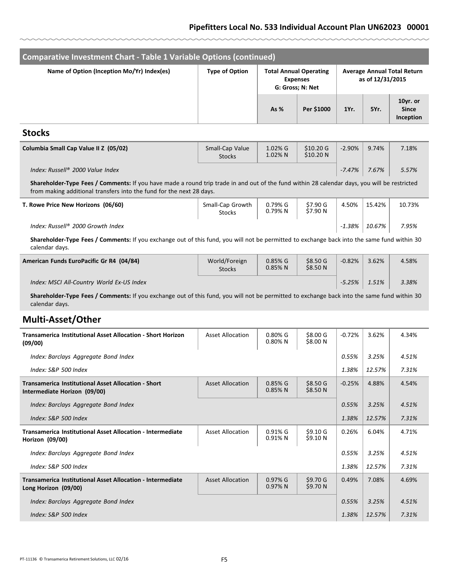#### **Pipefitters Local No. 533 Individual Account Plan UN62023 00001**

| Comparative Investment Chart - Table 1 Variable Options (continued) |                                  |                       |                                                                      |          |                                                        |                                       |  |  |
|---------------------------------------------------------------------|----------------------------------|-----------------------|----------------------------------------------------------------------|----------|--------------------------------------------------------|---------------------------------------|--|--|
| Name of Option (Inception Mo/Yr) Index(es)                          | <b>Type of Option</b>            |                       | <b>Total Annual Operating</b><br><b>Expenses</b><br>G: Gross; N: Net |          | <b>Average Annual Total Return</b><br>as of 12/31/2015 |                                       |  |  |
|                                                                     |                                  | As %                  | Per \$1000                                                           | 1Yr.     | 5Yr.                                                   | 10yr. or<br><b>Since</b><br>Inception |  |  |
| <b>Stocks</b>                                                       |                                  |                       |                                                                      |          |                                                        |                                       |  |  |
| Columbia Small Cap Value II Z (05/02)                               | Small-Cap Value<br><b>Stocks</b> | $1.02\%$ G<br>1.02% N | $$10.20 \text{ G}$<br>\$10.20 N                                      | $-2.90%$ | 9.74%                                                  | 7.18%                                 |  |  |

| Index: Russell® 2000 Value Index |  | $-7.47\%$ 7.67% | 5.57% |
|----------------------------------|--|-----------------|-------|
|----------------------------------|--|-----------------|-------|

**Shareholder-Type Fees / Comments:** If you have made a round trip trade in and out of the fund within 28 calendar days, you will be restricted from making additional transfers into the fund for the next 28 days.

| T. Rowe Price New Horizons (06/60) | Small-Cap Growth<br><b>Stocks</b> | 0.79% G<br>0.79%N | \$7.90 G<br>\$7.90 N | 4.50%  | 15.42% | 10.73% |
|------------------------------------|-----------------------------------|-------------------|----------------------|--------|--------|--------|
| Index: Russell® 2000 Growth Index  |                                   |                   |                      | -1.38% | 10.67% | 7.95%  |

**Shareholder-Type Fees / Comments:** If you exchange out of this fund, you will not be permitted to exchange back into the same fund within 30 calendar days.

| American Funds EuroPacific Gr R4 (04/84)  | World/Foreign<br><b>Stocks</b> | $0.85\%$ G<br>$0.85\%$ N | \$8.50 <sub>G</sub><br>\$8.50 <sub>N</sub> | $-0.82%$ | 3.62% | 4.58% |
|-------------------------------------------|--------------------------------|--------------------------|--------------------------------------------|----------|-------|-------|
| Index: MSCI All-Country World Ex-US Index |                                |                          |                                            | $-5.25%$ | 1.51% | 3.38% |

**Shareholder-Type Fees / Comments:** If you exchange out of this fund, you will not be permitted to exchange back into the same fund within 30 calendar days.

### **Multi-Asset/Other**

| <b>Transamerica Institutional Asset Allocation - Short Horizon</b><br>(09/00)              | <b>Asset Allocation</b> | $0.80\%$ G<br>$0.80\%$ N | \$8.00 G<br>\$8.00 N                       | $-0.72%$ | 3.62%  | 4.34% |
|--------------------------------------------------------------------------------------------|-------------------------|--------------------------|--------------------------------------------|----------|--------|-------|
| Index: Barclays Aggregate Bond Index                                                       |                         |                          |                                            | 0.55%    | 3.25%  | 4.51% |
| Index: S&P 500 Index                                                                       |                         |                          |                                            | 1.38%    | 12.57% | 7.31% |
| <b>Transamerica Institutional Asset Allocation - Short</b><br>Intermediate Horizon (09/00) | <b>Asset Allocation</b> | $0.85%$ G<br>$0.85%$ N   | \$8.50 <sub>G</sub><br>\$8.50 <sub>N</sub> | $-0.25%$ | 4.88%  | 4.54% |
| Index: Barclays Aggregate Bond Index                                                       |                         |                          |                                            | 0.55%    | 3.25%  | 4.51% |
| Index: S&P 500 Index                                                                       |                         |                          |                                            | 1.38%    | 12.57% | 7.31% |
| <b>Transamerica Institutional Asset Allocation - Intermediate</b><br>Horizon (09/00)       | <b>Asset Allocation</b> | $0.91%$ G<br>$0.91\%$ N  | \$9.10 <sub>G</sub><br>\$9.10 N            | 0.26%    | 6.04%  | 4.71% |
| Index: Barclays Aggregate Bond Index                                                       |                         |                          |                                            | 0.55%    | 3.25%  | 4.51% |
| Index: S&P 500 Index                                                                       |                         |                          |                                            | 1.38%    | 12.57% | 7.31% |
| Transamerica Institutional Asset Allocation - Intermediate<br>Long Horizon (09/00)         | <b>Asset Allocation</b> | $0.97%$ G<br>0.97%N      | \$9.70 <sub>G</sub><br>\$9.70 N            | 0.49%    | 7.08%  | 4.69% |
| Index: Barclays Aggregate Bond Index                                                       |                         |                          |                                            | 0.55%    | 3.25%  | 4.51% |
| Index: S&P 500 Index                                                                       |                         |                          |                                            | 1.38%    | 12.57% | 7.31% |